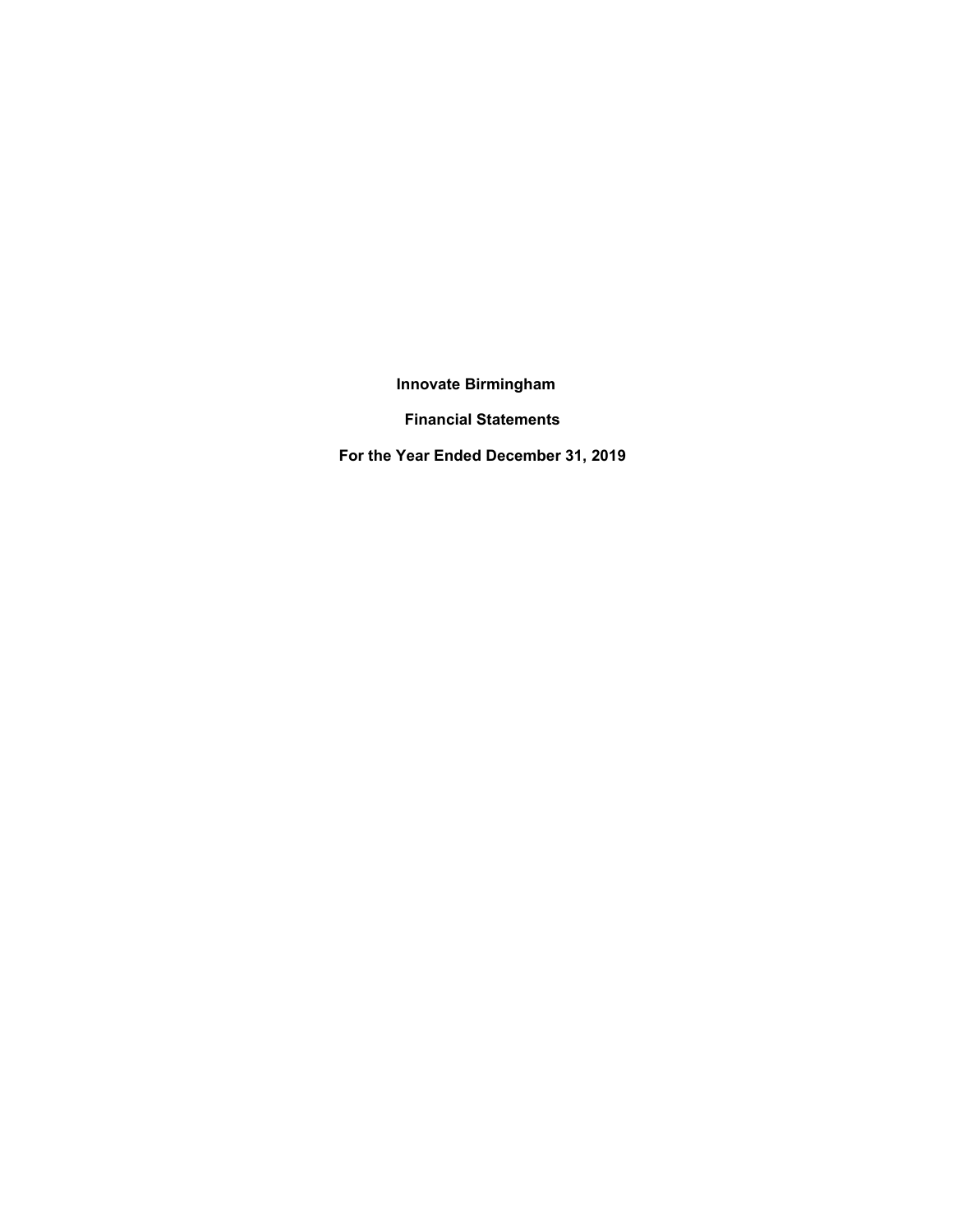**Innovate Birmingham**

 **Financial Statements**

 **For the Year Ended December 31, 2019**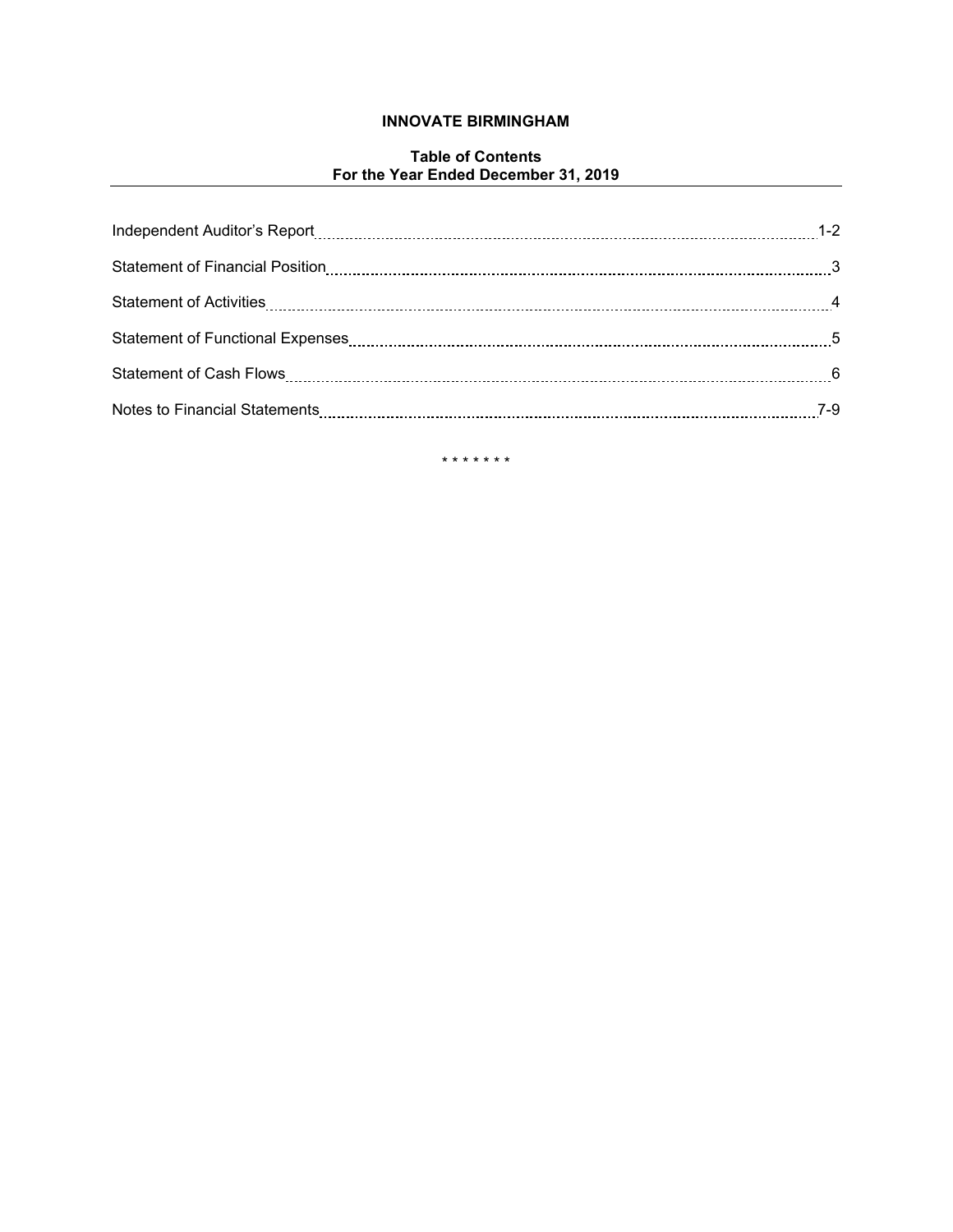# **Table of Contents For the Year Ended December 31, 2019**

| Independent Auditor's Report [11, 2010] [12] Independent Auditor's Report [12] Independent Auditor's Report [12 |  |
|-----------------------------------------------------------------------------------------------------------------|--|
|                                                                                                                 |  |
|                                                                                                                 |  |
|                                                                                                                 |  |
|                                                                                                                 |  |
|                                                                                                                 |  |

\* \* \* \* \* \* \*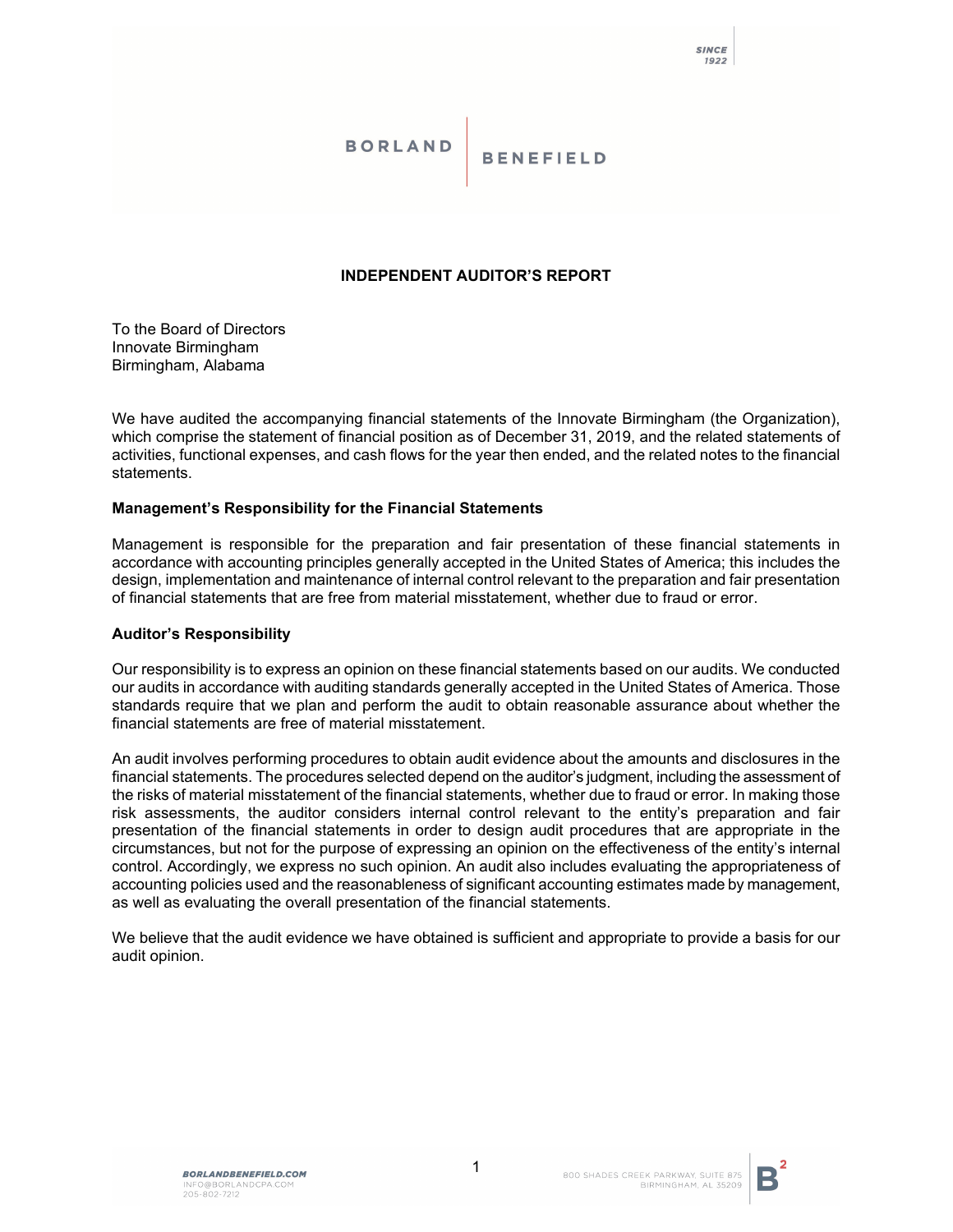**BORLAND BENEFIELD** 

## **INDEPENDENT AUDITOR'S REPORT**

To the Board of Directors Innovate Birmingham Birmingham, Alabama

We have audited the accompanying financial statements of the Innovate Birmingham (the Organization), which comprise the statement of financial position as of December 31, 2019, and the related statements of activities, functional expenses, and cash flows for the year then ended, and the related notes to the financial statements.

## **Management's Responsibility for the Financial Statements**

Management is responsible for the preparation and fair presentation of these financial statements in accordance with accounting principles generally accepted in the United States of America; this includes the design, implementation and maintenance of internal control relevant to the preparation and fair presentation of financial statements that are free from material misstatement, whether due to fraud or error.

## **Auditor's Responsibility**

Our responsibility is to express an opinion on these financial statements based on our audits. We conducted our audits in accordance with auditing standards generally accepted in the United States of America. Those standards require that we plan and perform the audit to obtain reasonable assurance about whether the financial statements are free of material misstatement.

An audit involves performing procedures to obtain audit evidence about the amounts and disclosures in the financial statements. The procedures selected depend on the auditor's judgment, including the assessment of the risks of material misstatement of the financial statements, whether due to fraud or error. In making those risk assessments, the auditor considers internal control relevant to the entity's preparation and fair presentation of the financial statements in order to design audit procedures that are appropriate in the circumstances, but not for the purpose of expressing an opinion on the effectiveness of the entity's internal control. Accordingly, we express no such opinion. An audit also includes evaluating the appropriateness of accounting policies used and the reasonableness of significant accounting estimates made by management, as well as evaluating the overall presentation of the financial statements.

We believe that the audit evidence we have obtained is sufficient and appropriate to provide a basis for our audit opinion.

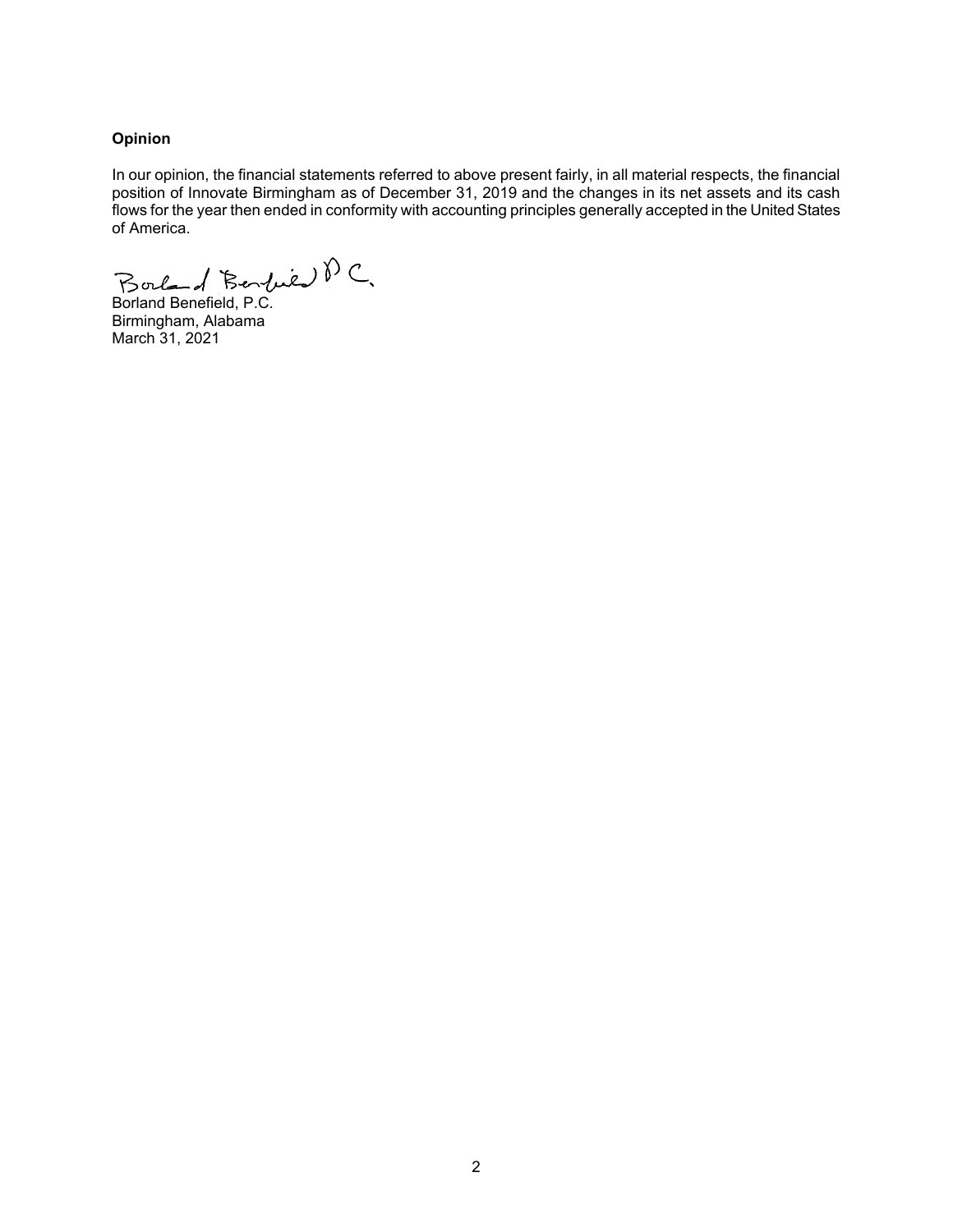**Opinion**

In our opinion, the financial statements referred to above present fairly, in all material respects, the financial position of Innovate Birmingham as of December 31, 2019 and the changes in its net assets and its cash flows for the year then ended in conformity with accounting principles generally accepted in the United States of America.

Borland Benduit PC.<br>Borland Benefield, P.C.

Birmingham, Alabama March 31, 2021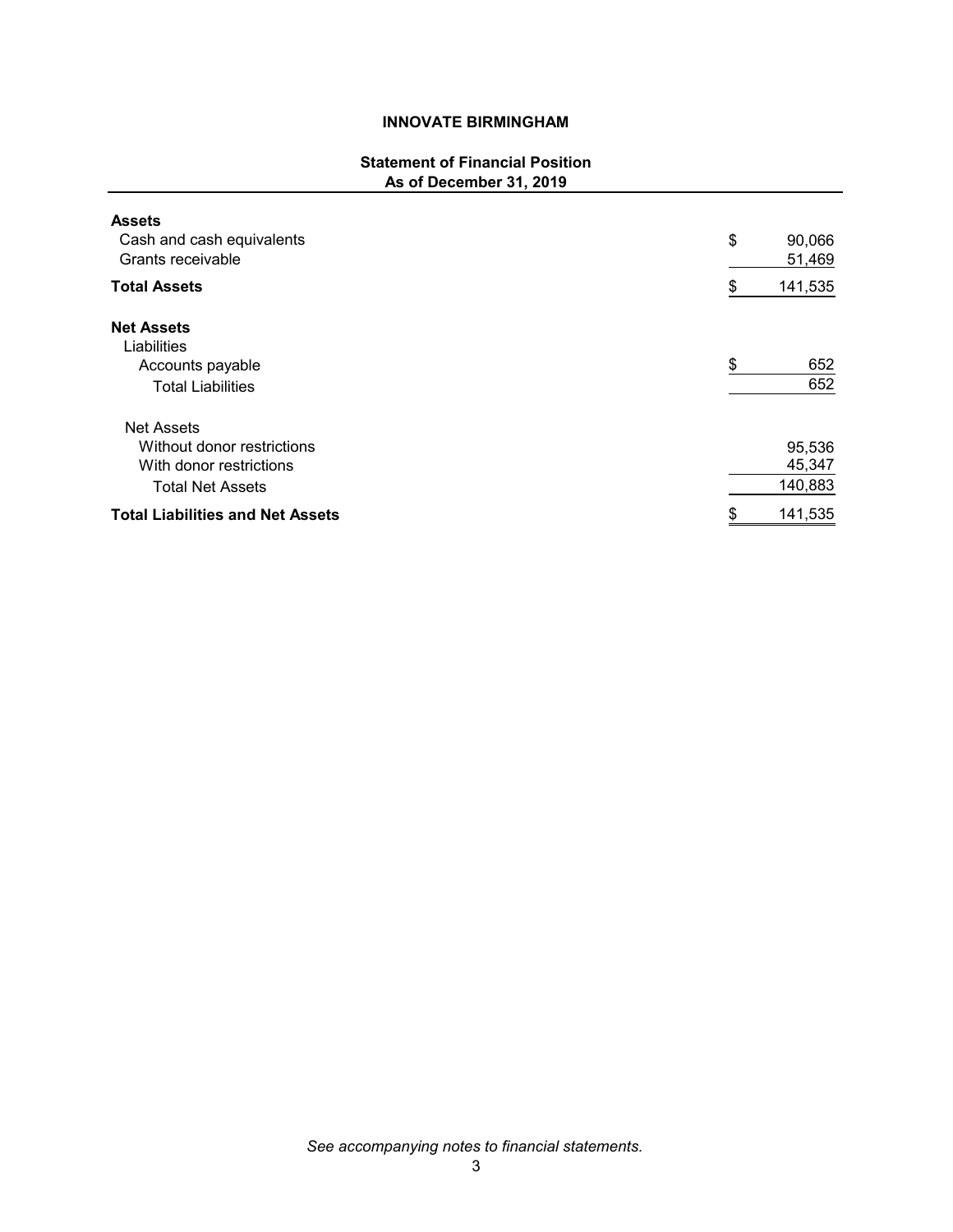## **As of December 31, 2019 Statement of Financial Position**

| <b>Assets</b>                           |    |         |
|-----------------------------------------|----|---------|
| Cash and cash equivalents               | \$ | 90,066  |
| Grants receivable                       |    | 51,469  |
| <b>Total Assets</b>                     | \$ | 141,535 |
| <b>Net Assets</b>                       |    |         |
| Liabilities                             |    |         |
| Accounts payable                        | \$ | 652     |
| <b>Total Liabilities</b>                |    | 652     |
| <b>Net Assets</b>                       |    |         |
| Without donor restrictions              |    | 95,536  |
| With donor restrictions                 |    | 45,347  |
| <b>Total Net Assets</b>                 |    | 140,883 |
| <b>Total Liabilities and Net Assets</b> | S  | 141,535 |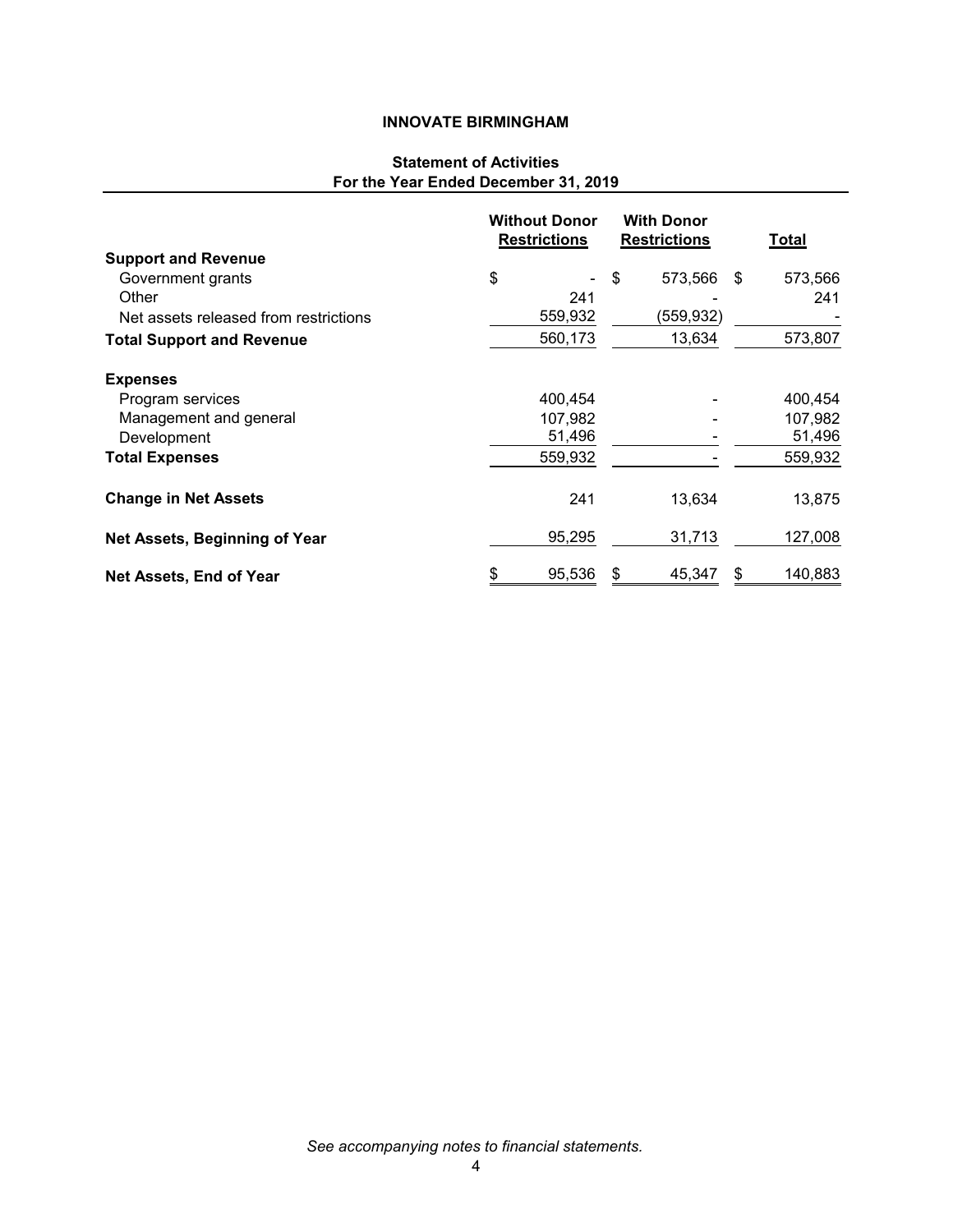## **For the Year Ended December 31, 2019 Statement of Activities**

|                                       | <b>Without Donor</b><br><b>Restrictions</b> | <b>With Donor</b><br><b>Restrictions</b> | <u>Total</u>  |
|---------------------------------------|---------------------------------------------|------------------------------------------|---------------|
| <b>Support and Revenue</b>            |                                             |                                          |               |
| Government grants                     | \$                                          | 573,566<br>\$                            | 573,566<br>\$ |
| Other                                 | 241                                         |                                          | 241           |
| Net assets released from restrictions | 559,932                                     | (559,932)                                |               |
| <b>Total Support and Revenue</b>      | 560,173                                     | 13,634                                   | 573,807       |
| <b>Expenses</b>                       |                                             |                                          |               |
| Program services                      | 400,454                                     |                                          | 400,454       |
| Management and general                | 107,982                                     |                                          | 107,982       |
| Development                           | 51,496                                      |                                          | 51,496        |
| <b>Total Expenses</b>                 | 559,932                                     |                                          | 559,932       |
| <b>Change in Net Assets</b>           | 241                                         | 13,634                                   | 13,875        |
| Net Assets, Beginning of Year         | 95,295                                      | 31,713                                   | 127,008       |
| Net Assets, End of Year               | 95,536                                      | 45,347<br>\$                             | 140,883<br>\$ |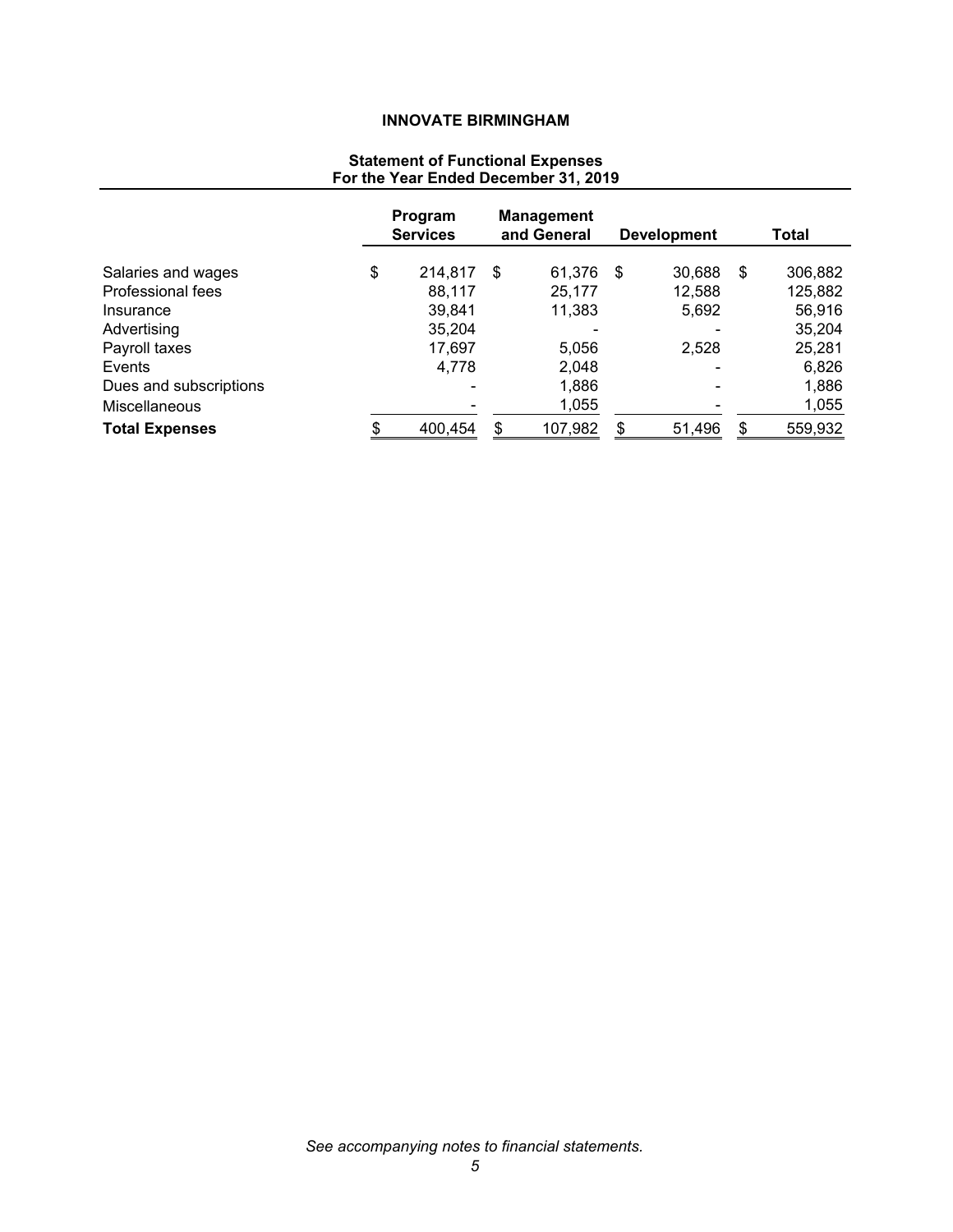#### **Statement of Functional Expenses For the Year Ended December 31, 2019**

|                        | Program<br><b>Services</b> |    | <b>Management</b><br>and General | <b>Development</b> | <b>Total</b>  |
|------------------------|----------------------------|----|----------------------------------|--------------------|---------------|
| Salaries and wages     | \$<br>214.817              | S  | 61,376                           | \$<br>30,688       | \$<br>306,882 |
| Professional fees      | 88.117                     |    | 25,177                           | 12,588             | 125,882       |
| Insurance              | 39,841                     |    | 11,383                           | 5,692              | 56,916        |
| Advertising            | 35,204                     |    |                                  |                    | 35,204        |
| Payroll taxes          | 17,697                     |    | 5,056                            | 2,528              | 25,281        |
| Events                 | 4.778                      |    | 2,048                            |                    | 6,826         |
| Dues and subscriptions |                            |    | 1,886                            |                    | 1,886         |
| Miscellaneous          |                            |    | 1,055                            |                    | 1,055         |
| <b>Total Expenses</b>  | 400,454                    | \$ | 107,982                          | \$<br>51,496       | \$<br>559,932 |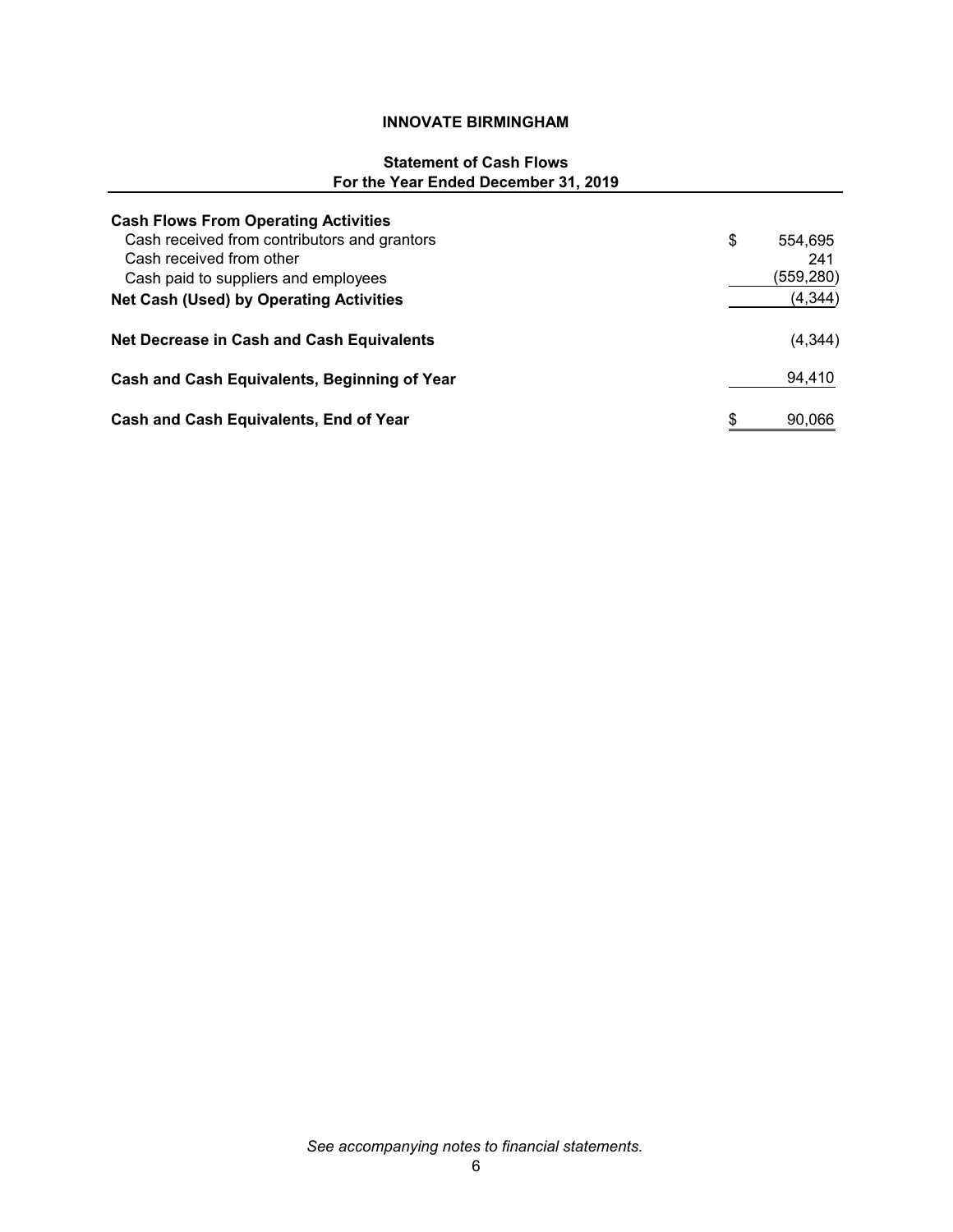## **For the Year Ended December 31, 2019 Statement of Cash Flows**

| <b>Cash Flows From Operating Activities</b>    |               |
|------------------------------------------------|---------------|
| Cash received from contributors and grantors   | \$<br>554,695 |
| Cash received from other                       | 241           |
| Cash paid to suppliers and employees           | (559,280)     |
| <b>Net Cash (Used) by Operating Activities</b> | (4, 344)      |
| Net Decrease in Cash and Cash Equivalents      | (4, 344)      |
| Cash and Cash Equivalents, Beginning of Year   | 94,410        |
| Cash and Cash Equivalents, End of Year         | 90,066        |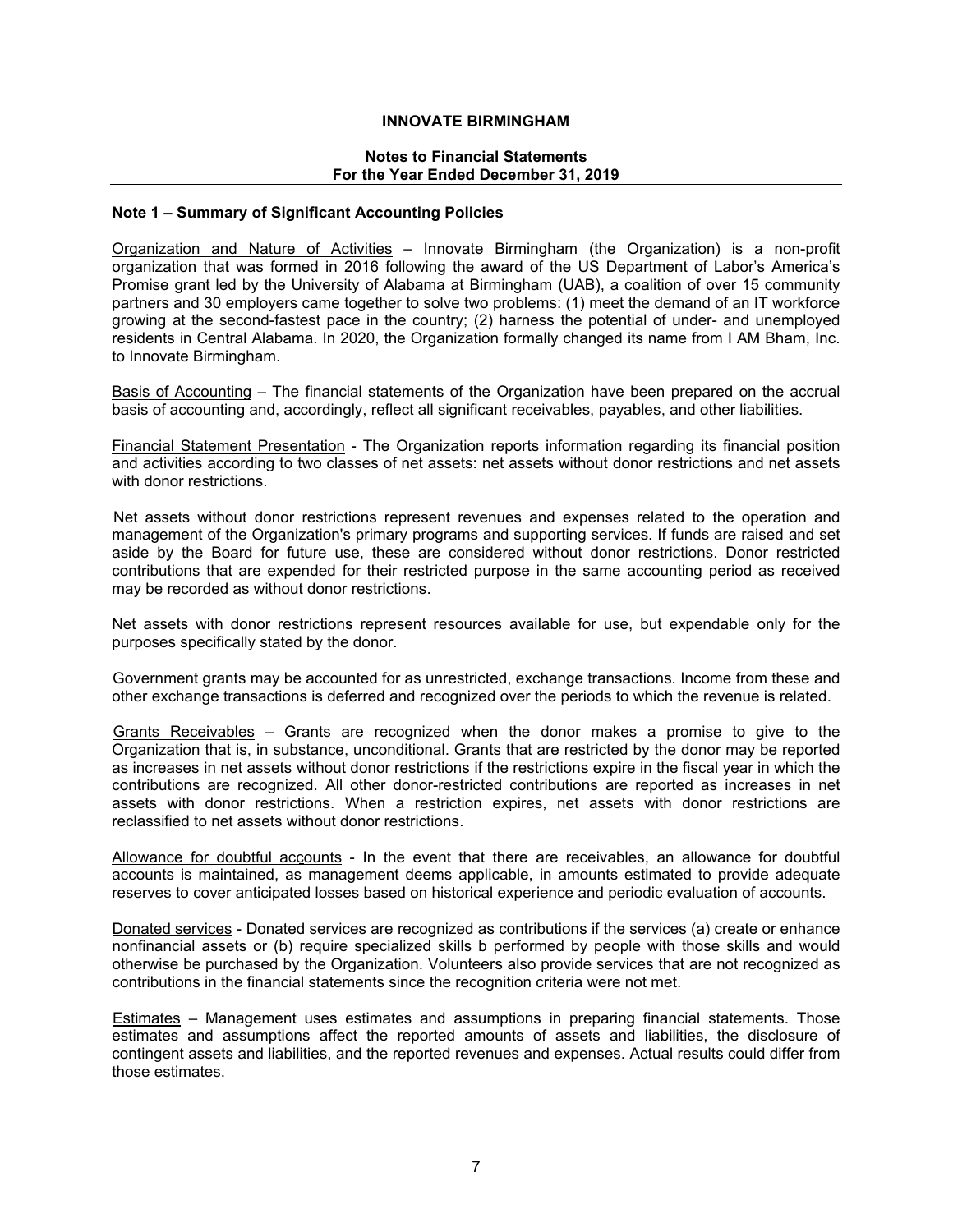## **Notes to Financial Statements For the Year Ended December 31, 2019**

#### **Note 1 – Summary of Significant Accounting Policies**

Organization and Nature of Activities – Innovate Birmingham (the Organization) is a non-profit organization that was formed in 2016 following the award of the US Department of Labor's America's Promise grant led by the University of Alabama at Birmingham (UAB), a coalition of over 15 community partners and 30 employers came together to solve two problems: (1) meet the demand of an IT workforce growing at the second-fastest pace in the country; (2) harness the potential of under- and unemployed residents in Central Alabama. In 2020, the Organization formally changed its name from I AM Bham, Inc. to Innovate Birmingham.

Basis of Accounting – The financial statements of the Organization have been prepared on the accrual basis of accounting and, accordingly, reflect all significant receivables, payables, and other liabilities.

Financial Statement Presentation - The Organization reports information regarding its financial position and activities according to two classes of net assets: net assets without donor restrictions and net assets with donor restrictions.

Net assets without donor restrictions represent revenues and expenses related to the operation and management of the Organization's primary programs and supporting services. If funds are raised and set aside by the Board for future use, these are considered without donor restrictions. Donor restricted contributions that are expended for their restricted purpose in the same accounting period as received may be recorded as without donor restrictions.

Net assets with donor restrictions represent resources available for use, but expendable only for the purposes specifically stated by the donor.

Government grants may be accounted for as unrestricted, exchange transactions. Income from these and other exchange transactions is deferred and recognized over the periods to which the revenue is related.

Grants Receivables – Grants are recognized when the donor makes a promise to give to the Organization that is, in substance, unconditional. Grants that are restricted by the donor may be reported as increases in net assets without donor restrictions if the restrictions expire in the fiscal year in which the contributions are recognized. All other donor-restricted contributions are reported as increases in net assets with donor restrictions. When a restriction expires, net assets with donor restrictions are reclassified to net assets without donor restrictions.

Allowance for doubtful accounts - In the event that there are receivables, an allowance for doubtful accounts is maintained, as management deems applicable, in amounts estimated to provide adequate reserves to cover anticipated losses based on historical experience and periodic evaluation of accounts.

Donated services - Donated services are recognized as contributions if the services (a) create or enhance nonfinancial assets or (b) require specialized skills b performed by people with those skills and would otherwise be purchased by the Organization. Volunteers also provide services that are not recognized as contributions in the financial statements since the recognition criteria were not met.

Estimates – Management uses estimates and assumptions in preparing financial statements. Those estimates and assumptions affect the reported amounts of assets and liabilities, the disclosure of contingent assets and liabilities, and the reported revenues and expenses. Actual results could differ from those estimates.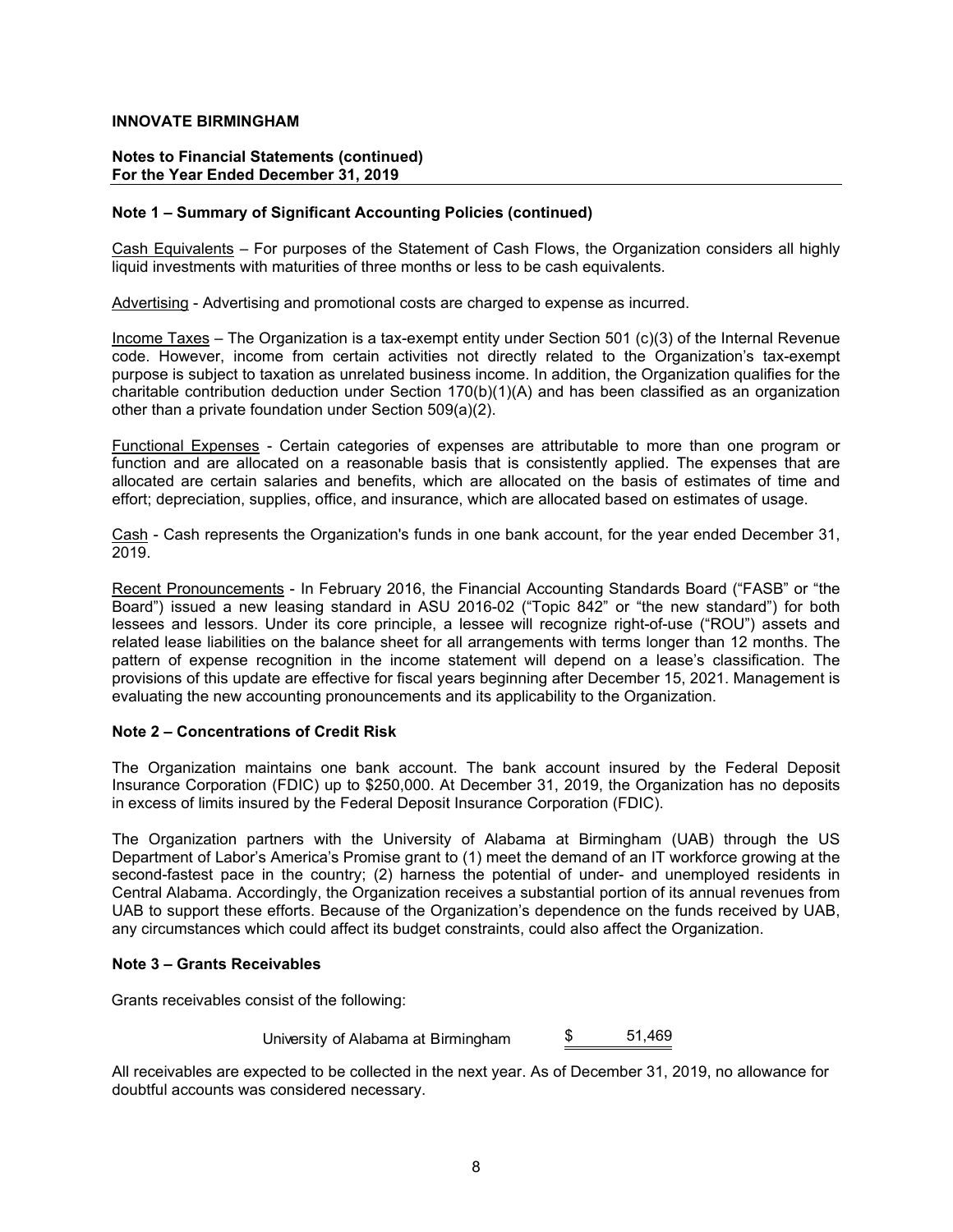#### **Notes to Financial Statements (continued) For the Year Ended December 31, 2019**

#### **Note 1 – Summary of Significant Accounting Policies (continued)**

Cash Equivalents – For purposes of the Statement of Cash Flows, the Organization considers all highly liquid investments with maturities of three months or less to be cash equivalents.

Advertising - Advertising and promotional costs are charged to expense as incurred.

Income Taxes – The Organization is a tax-exempt entity under Section 501 (c)(3) of the Internal Revenue code. However, income from certain activities not directly related to the Organization's tax-exempt purpose is subject to taxation as unrelated business income. In addition, the Organization qualifies for the charitable contribution deduction under Section 170(b)(1)(A) and has been classified as an organization other than a private foundation under Section 509(a)(2).

Functional Expenses - Certain categories of expenses are attributable to more than one program or function and are allocated on a reasonable basis that is consistently applied. The expenses that are allocated are certain salaries and benefits, which are allocated on the basis of estimates of time and effort; depreciation, supplies, office, and insurance, which are allocated based on estimates of usage.

Cash - Cash represents the Organization's funds in one bank account, for the year ended December 31, 2019.

Recent Pronouncements - In February 2016, the Financial Accounting Standards Board ("FASB" or "the Board") issued a new leasing standard in ASU 2016-02 ("Topic 842" or "the new standard") for both lessees and lessors. Under its core principle, a lessee will recognize right-of-use ("ROU") assets and related lease liabilities on the balance sheet for all arrangements with terms longer than 12 months. The pattern of expense recognition in the income statement will depend on a lease's classification. The provisions of this update are effective for fiscal years beginning after December 15, 2021. Management is evaluating the new accounting pronouncements and its applicability to the Organization.

## **Note 2 – Concentrations of Credit Risk**

The Organization maintains one bank account. The bank account insured by the Federal Deposit Insurance Corporation (FDIC) up to \$250,000. At December 31, 2019, the Organization has no deposits in excess of limits insured by the Federal Deposit Insurance Corporation (FDIC).

The Organization partners with the University of Alabama at Birmingham (UAB) through the US Department of Labor's America's Promise grant to (1) meet the demand of an IT workforce growing at the second-fastest pace in the country; (2) harness the potential of under- and unemployed residents in Central Alabama. Accordingly, the Organization receives a substantial portion of its annual revenues from UAB to support these efforts. Because of the Organization's dependence on the funds received by UAB, any circumstances which could affect its budget constraints, could also affect the Organization.

## **Note 3 – Grants Receivables**

Grants receivables consist of the following:

University of Alabama at Birmingham  $\frac{1}{3}$  51,469

All receivables are expected to be collected in the next year. As of December 31, 2019, no allowance for doubtful accounts was considered necessary.